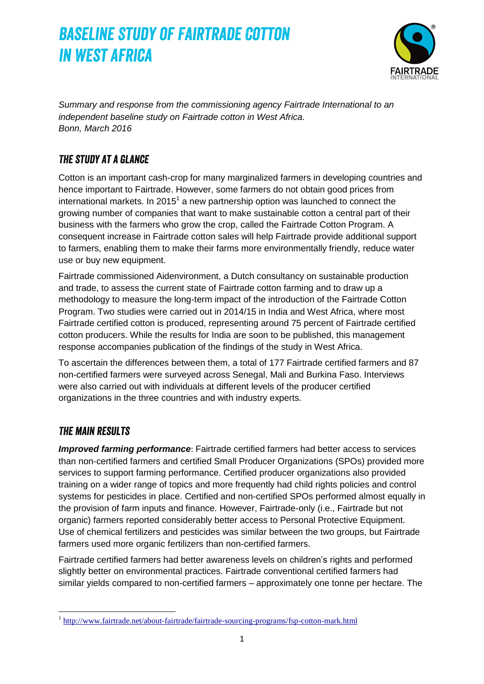

*Summary and response from the commissioning agency Fairtrade International to an independent baseline study on Fairtrade cotton in West Africa. Bonn, March 2016*

### *The study at a glance*

Cotton is an important cash-crop for many marginalized farmers in developing countries and hence important to Fairtrade. However, some farmers do not obtain good prices from international markets. In 2015<sup>1</sup> a new partnership option was launched to connect the growing number of companies that want to make sustainable cotton a central part of their business with the farmers who grow the crop, called the Fairtrade Cotton Program. A consequent increase in Fairtrade cotton sales will help Fairtrade provide additional support to farmers, enabling them to make their farms more environmentally friendly, reduce water use or buy new equipment.

Fairtrade commissioned Aidenvironment, a Dutch consultancy on sustainable production and trade, to assess the current state of Fairtrade cotton farming and to draw up a methodology to measure the long-term impact of the introduction of the Fairtrade Cotton Program. Two studies were carried out in 2014/15 in India and West Africa, where most Fairtrade certified cotton is produced, representing around 75 percent of Fairtrade certified cotton producers. While the results for India are soon to be published, this management response accompanies publication of the findings of the study in West Africa.

To ascertain the differences between them, a total of 177 Fairtrade certified farmers and 87 non-certified farmers were surveyed across Senegal, Mali and Burkina Faso. Interviews were also carried out with individuals at different levels of the producer certified organizations in the three countries and with industry experts.

### *The main results*

*Improved farming performance*: Fairtrade certified farmers had better access to services than non-certified farmers and certified Small Producer Organizations (SPOs) provided more services to support farming performance. Certified producer organizations also provided training on a wider range of topics and more frequently had child rights policies and control systems for pesticides in place. Certified and non-certified SPOs performed almost equally in the provision of farm inputs and finance. However, Fairtrade-only (i.e., Fairtrade but not organic) farmers reported considerably better access to Personal Protective Equipment. Use of chemical fertilizers and pesticides was similar between the two groups, but Fairtrade farmers used more organic fertilizers than non-certified farmers.

Fairtrade certified farmers had better awareness levels on children's rights and performed slightly better on environmental practices. Fairtrade conventional certified farmers had similar yields compared to non-certified farmers – approximately one tonne per hectare. The

<sup>1&</sup>lt;br>[http://www.fairtrade.net/about-fairtrade/fairtrade-sourcing-programs/fsp-cotton-mark.html](http://www.fairtrade.net/about-fairtrade/fairtrade-sourcing-programprograms/fsp-cotton-mark.html)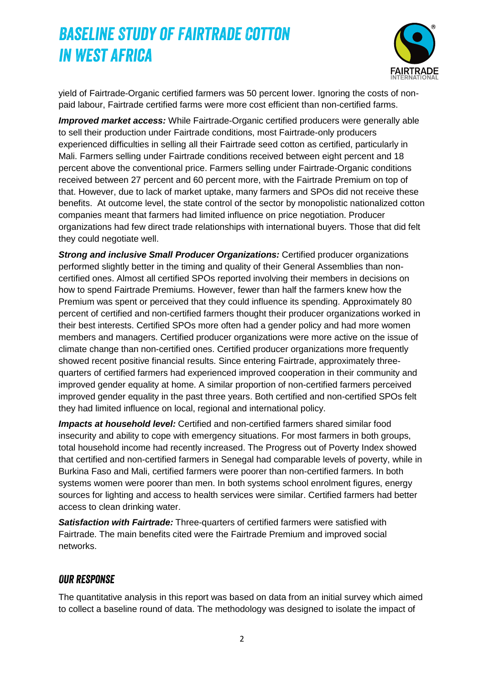

yield of Fairtrade-Organic certified farmers was 50 percent lower. Ignoring the costs of nonpaid labour, Fairtrade certified farms were more cost efficient than non-certified farms.

*Improved market access:* While Fairtrade-Organic certified producers were generally able to sell their production under Fairtrade conditions, most Fairtrade-only producers experienced difficulties in selling all their Fairtrade seed cotton as certified, particularly in Mali. Farmers selling under Fairtrade conditions received between eight percent and 18 percent above the conventional price. Farmers selling under Fairtrade-Organic conditions received between 27 percent and 60 percent more, with the Fairtrade Premium on top of that. However, due to lack of market uptake, many farmers and SPOs did not receive these benefits. At outcome level, the state control of the sector by monopolistic nationalized cotton companies meant that farmers had limited influence on price negotiation. Producer organizations had few direct trade relationships with international buyers. Those that did felt they could negotiate well.

*Strong and inclusive Small Producer Organizations:* Certified producer organizations performed slightly better in the timing and quality of their General Assemblies than noncertified ones. Almost all certified SPOs reported involving their members in decisions on how to spend Fairtrade Premiums. However, fewer than half the farmers knew how the Premium was spent or perceived that they could influence its spending. Approximately 80 percent of certified and non-certified farmers thought their producer organizations worked in their best interests. Certified SPOs more often had a gender policy and had more women members and managers. Certified producer organizations were more active on the issue of climate change than non-certified ones. Certified producer organizations more frequently showed recent positive financial results. Since entering Fairtrade, approximately threequarters of certified farmers had experienced improved cooperation in their community and improved gender equality at home. A similar proportion of non-certified farmers perceived improved gender equality in the past three years. Both certified and non-certified SPOs felt they had limited influence on local, regional and international policy.

*Impacts at household level:* Certified and non-certified farmers shared similar food insecurity and ability to cope with emergency situations. For most farmers in both groups, total household income had recently increased. The Progress out of Poverty Index showed that certified and non-certified farmers in Senegal had comparable levels of poverty, while in Burkina Faso and Mali, certified farmers were poorer than non-certified farmers. In both systems women were poorer than men. In both systems school enrolment figures, energy sources for lighting and access to health services were similar. Certified farmers had better access to clean drinking water.

*Satisfaction with Fairtrade:* Three-quarters of certified farmers were satisfied with Fairtrade. The main benefits cited were the Fairtrade Premium and improved social networks.

#### *Our response*

The quantitative analysis in this report was based on data from an initial survey which aimed to collect a baseline round of data. The methodology was designed to isolate the impact of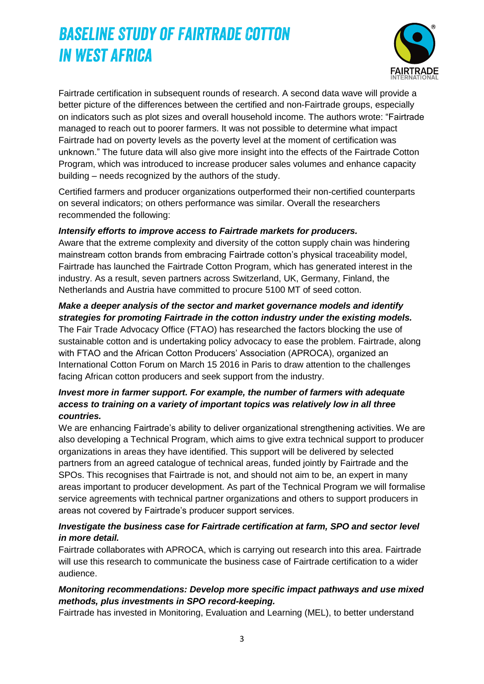

Fairtrade certification in subsequent rounds of research. A second data wave will provide a better picture of the differences between the certified and non-Fairtrade groups, especially on indicators such as plot sizes and overall household income. The authors wrote: "Fairtrade managed to reach out to poorer farmers. It was not possible to determine what impact Fairtrade had on poverty levels as the poverty level at the moment of certification was unknown." The future data will also give more insight into the effects of the Fairtrade Cotton Program, which was introduced to increase producer sales volumes and enhance capacity building – needs recognized by the authors of the study.

Certified farmers and producer organizations outperformed their non-certified counterparts on several indicators; on others performance was similar. Overall the researchers recommended the following:

#### *Intensify efforts to improve access to Fairtrade markets for producers.*

Aware that the extreme complexity and diversity of the cotton supply chain was hindering mainstream cotton brands from embracing Fairtrade cotton's physical traceability model, Fairtrade has launched the Fairtrade Cotton Program, which has generated interest in the industry. As a result, seven partners across Switzerland, UK, Germany, Finland, the Netherlands and Austria have committed to procure 5100 MT of seed cotton.

### *Make a deeper analysis of the sector and market governance models and identify strategies for promoting Fairtrade in the cotton industry under the existing models.*

The Fair Trade Advocacy Office (FTAO) has researched the factors blocking the use of sustainable cotton and is undertaking policy advocacy to ease the problem. Fairtrade, along with FTAO and the African Cotton Producers' Association (APROCA), organized an International Cotton Forum on March 15 2016 in Paris to draw attention to the challenges facing African cotton producers and seek support from the industry.

### *Invest more in farmer support. For example, the number of farmers with adequate access to training on a variety of important topics was relatively low in all three countries.*

We are enhancing Fairtrade's ability to deliver organizational strengthening activities. We are also developing a Technical Program, which aims to give extra technical support to producer organizations in areas they have identified. This support will be delivered by selected partners from an agreed catalogue of technical areas, funded jointly by Fairtrade and the SPOs. This recognises that Fairtrade is not, and should not aim to be, an expert in many areas important to producer development. As part of the Technical Program we will formalise service agreements with technical partner organizations and others to support producers in areas not covered by Fairtrade's producer support services.

### *Investigate the business case for Fairtrade certification at farm, SPO and sector level in more detail.*

Fairtrade collaborates with APROCA, which is carrying out research into this area. Fairtrade will use this research to communicate the business case of Fairtrade certification to a wider audience.

### *Monitoring recommendations: Develop more specific impact pathways and use mixed methods, plus investments in SPO record-keeping.*

Fairtrade has invested in Monitoring, Evaluation and Learning (MEL), to better understand